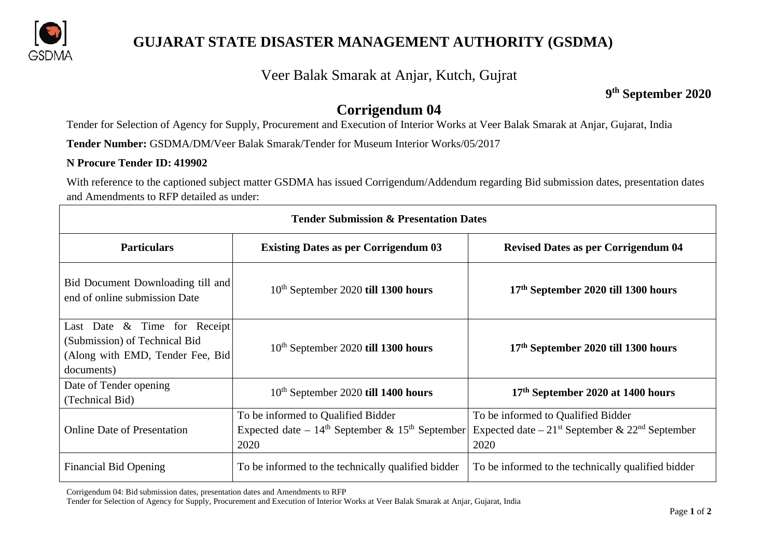

# **GUJARAT STATE DISASTER MANAGEMENT AUTHORITY (GSDMA)**

### Veer Balak Smarak at Anjar, Kutch, Gujrat

### **9th September 2020**

# **Corrigendum 04**

Tender for Selection of Agency for Supply, Procurement and Execution of Interior Works at Veer Balak Smarak at Anjar, Gujarat, India

**Tender Number:** GSDMA/DM/Veer Balak Smarak/Tender for Museum Interior Works/05/2017

#### **N Procure Tender ID: 419902**

With reference to the captioned subject matter GSDMA has issued Corrigendum/Addendum regarding Bid submission dates, presentation dates and Amendments to RFP detailed as under:

| <b>Tender Submission &amp; Presentation Dates</b>                                                                  |                                                                                                   |                                                                                                                        |
|--------------------------------------------------------------------------------------------------------------------|---------------------------------------------------------------------------------------------------|------------------------------------------------------------------------------------------------------------------------|
| <b>Particulars</b>                                                                                                 | <b>Existing Dates as per Corrigendum 03</b>                                                       | <b>Revised Dates as per Corrigendum 04</b>                                                                             |
| Bid Document Downloading till and<br>end of online submission Date                                                 | 10 <sup>th</sup> September 2020 till 1300 hours                                                   | 17 <sup>th</sup> September 2020 till 1300 hours                                                                        |
| Last Date $\&$ Time for Receipt<br>(Submission) of Technical Bid<br>(Along with EMD, Tender Fee, Bid<br>documents) | 10 <sup>th</sup> September 2020 till 1300 hours                                                   | 17 <sup>th</sup> September 2020 till 1300 hours                                                                        |
| Date of Tender opening<br>(Technical Bid)                                                                          | 10 <sup>th</sup> September 2020 till 1400 hours                                                   | 17th September 2020 at 1400 hours                                                                                      |
| <b>Online Date of Presentation</b>                                                                                 | To be informed to Qualified Bidder<br>Expected date – $14th$ September & $15th$ September<br>2020 | To be informed to Qualified Bidder<br>Expected date $-21$ <sup>st</sup> September & 22 <sup>nd</sup> September<br>2020 |
| <b>Financial Bid Opening</b>                                                                                       | To be informed to the technically qualified bidder                                                | To be informed to the technically qualified bidder                                                                     |

Corrigendum 04: Bid submission dates, presentation dates and Amendments to RFP

Tender for Selection of Agency for Supply, Procurement and Execution of Interior Works at Veer Balak Smarak at Anjar, Gujarat, India